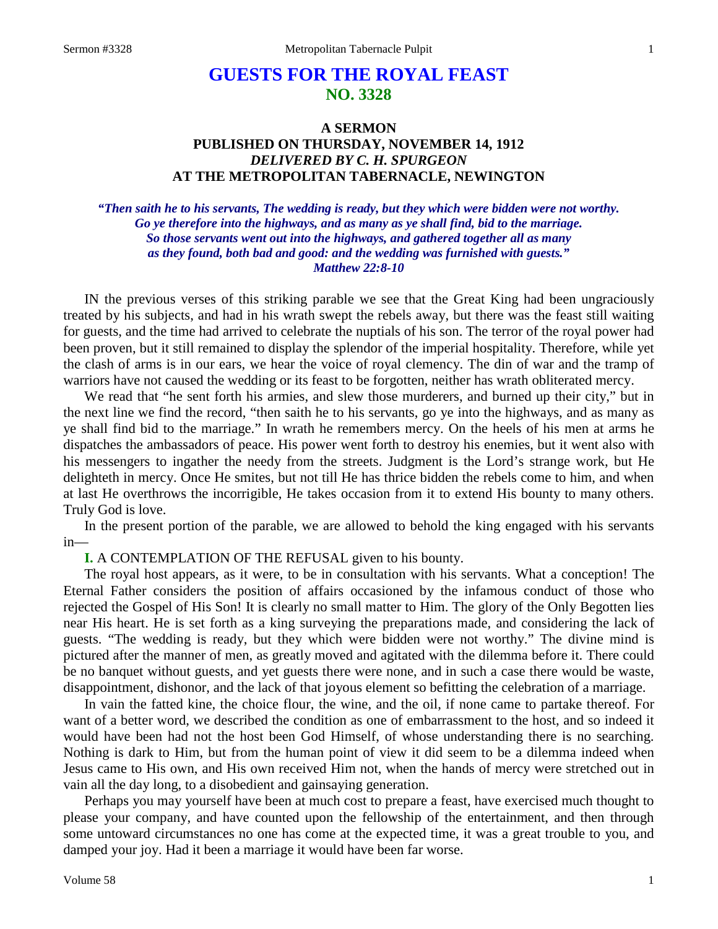# **GUESTS FOR THE ROYAL FEAST NO. 3328**

# **A SERMON PUBLISHED ON THURSDAY, NOVEMBER 14, 1912** *DELIVERED BY C. H. SPURGEON* **AT THE METROPOLITAN TABERNACLE, NEWINGTON**

*"Then saith he to his servants, The wedding is ready, but they which were bidden were not worthy. Go ye therefore into the highways, and as many as ye shall find, bid to the marriage. So those servants went out into the highways, and gathered together all as many as they found, both bad and good: and the wedding was furnished with guests." Matthew 22:8-10*

IN the previous verses of this striking parable we see that the Great King had been ungraciously treated by his subjects, and had in his wrath swept the rebels away, but there was the feast still waiting for guests, and the time had arrived to celebrate the nuptials of his son. The terror of the royal power had been proven, but it still remained to display the splendor of the imperial hospitality. Therefore, while yet the clash of arms is in our ears, we hear the voice of royal clemency. The din of war and the tramp of warriors have not caused the wedding or its feast to be forgotten, neither has wrath obliterated mercy.

We read that "he sent forth his armies, and slew those murderers, and burned up their city," but in the next line we find the record, "then saith he to his servants, go ye into the highways, and as many as ye shall find bid to the marriage." In wrath he remembers mercy. On the heels of his men at arms he dispatches the ambassadors of peace. His power went forth to destroy his enemies, but it went also with his messengers to ingather the needy from the streets. Judgment is the Lord's strange work, but He delighteth in mercy. Once He smites, but not till He has thrice bidden the rebels come to him, and when at last He overthrows the incorrigible, He takes occasion from it to extend His bounty to many others. Truly God is love.

In the present portion of the parable, we are allowed to behold the king engaged with his servants in—

**I.** A CONTEMPLATION OF THE REFUSAL given to his bounty.

The royal host appears, as it were, to be in consultation with his servants. What a conception! The Eternal Father considers the position of affairs occasioned by the infamous conduct of those who rejected the Gospel of His Son! It is clearly no small matter to Him. The glory of the Only Begotten lies near His heart. He is set forth as a king surveying the preparations made, and considering the lack of guests. "The wedding is ready, but they which were bidden were not worthy." The divine mind is pictured after the manner of men, as greatly moved and agitated with the dilemma before it. There could be no banquet without guests, and yet guests there were none, and in such a case there would be waste, disappointment, dishonor, and the lack of that joyous element so befitting the celebration of a marriage.

In vain the fatted kine, the choice flour, the wine, and the oil, if none came to partake thereof. For want of a better word, we described the condition as one of embarrassment to the host, and so indeed it would have been had not the host been God Himself, of whose understanding there is no searching. Nothing is dark to Him, but from the human point of view it did seem to be a dilemma indeed when Jesus came to His own, and His own received Him not, when the hands of mercy were stretched out in vain all the day long, to a disobedient and gainsaying generation.

Perhaps you may yourself have been at much cost to prepare a feast, have exercised much thought to please your company, and have counted upon the fellowship of the entertainment, and then through some untoward circumstances no one has come at the expected time, it was a great trouble to you, and damped your joy. Had it been a marriage it would have been far worse.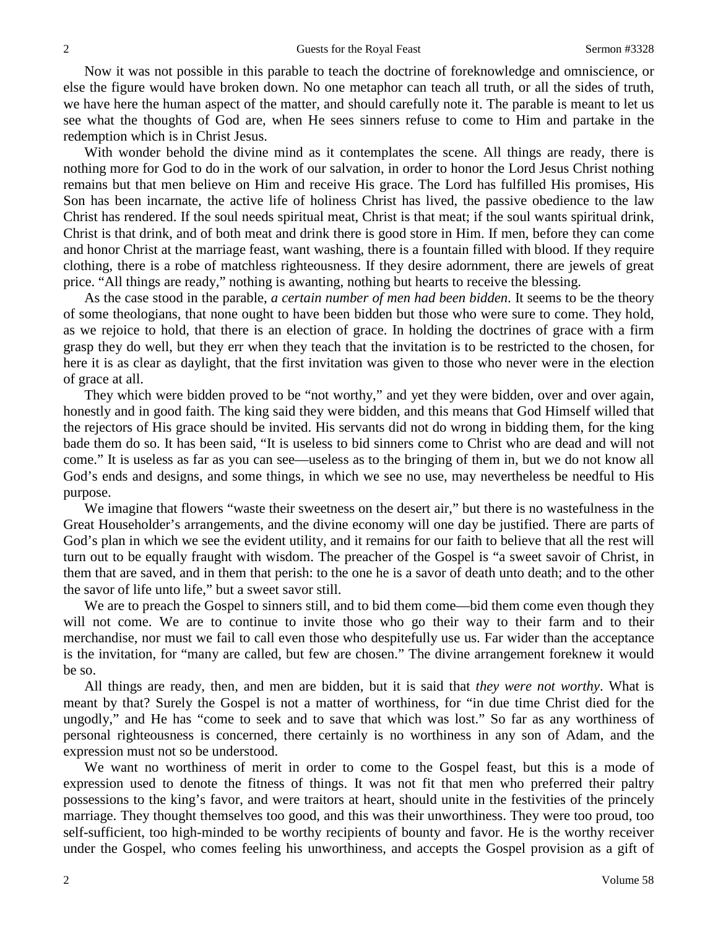Now it was not possible in this parable to teach the doctrine of foreknowledge and omniscience, or else the figure would have broken down. No one metaphor can teach all truth, or all the sides of truth, we have here the human aspect of the matter, and should carefully note it. The parable is meant to let us see what the thoughts of God are, when He sees sinners refuse to come to Him and partake in the redemption which is in Christ Jesus.

With wonder behold the divine mind as it contemplates the scene. All things are ready, there is nothing more for God to do in the work of our salvation, in order to honor the Lord Jesus Christ nothing remains but that men believe on Him and receive His grace. The Lord has fulfilled His promises, His Son has been incarnate, the active life of holiness Christ has lived, the passive obedience to the law Christ has rendered. If the soul needs spiritual meat, Christ is that meat; if the soul wants spiritual drink, Christ is that drink, and of both meat and drink there is good store in Him. If men, before they can come and honor Christ at the marriage feast, want washing, there is a fountain filled with blood. If they require clothing, there is a robe of matchless righteousness. If they desire adornment, there are jewels of great price. "All things are ready," nothing is awanting, nothing but hearts to receive the blessing.

As the case stood in the parable, *a certain number of men had been bidden*. It seems to be the theory of some theologians, that none ought to have been bidden but those who were sure to come. They hold, as we rejoice to hold, that there is an election of grace. In holding the doctrines of grace with a firm grasp they do well, but they err when they teach that the invitation is to be restricted to the chosen, for here it is as clear as daylight, that the first invitation was given to those who never were in the election of grace at all.

They which were bidden proved to be "not worthy," and yet they were bidden, over and over again, honestly and in good faith. The king said they were bidden, and this means that God Himself willed that the rejectors of His grace should be invited. His servants did not do wrong in bidding them, for the king bade them do so. It has been said, "It is useless to bid sinners come to Christ who are dead and will not come." It is useless as far as you can see—useless as to the bringing of them in, but we do not know all God's ends and designs, and some things, in which we see no use, may nevertheless be needful to His purpose.

We imagine that flowers "waste their sweetness on the desert air," but there is no wastefulness in the Great Householder's arrangements, and the divine economy will one day be justified. There are parts of God's plan in which we see the evident utility, and it remains for our faith to believe that all the rest will turn out to be equally fraught with wisdom. The preacher of the Gospel is "a sweet savoir of Christ, in them that are saved, and in them that perish: to the one he is a savor of death unto death; and to the other the savor of life unto life," but a sweet savor still.

We are to preach the Gospel to sinners still, and to bid them come—bid them come even though they will not come. We are to continue to invite those who go their way to their farm and to their merchandise, nor must we fail to call even those who despitefully use us. Far wider than the acceptance is the invitation, for "many are called, but few are chosen." The divine arrangement foreknew it would be so.

All things are ready, then, and men are bidden, but it is said that *they were not worthy*. What is meant by that? Surely the Gospel is not a matter of worthiness, for "in due time Christ died for the ungodly," and He has "come to seek and to save that which was lost." So far as any worthiness of personal righteousness is concerned, there certainly is no worthiness in any son of Adam, and the expression must not so be understood.

We want no worthiness of merit in order to come to the Gospel feast, but this is a mode of expression used to denote the fitness of things. It was not fit that men who preferred their paltry possessions to the king's favor, and were traitors at heart, should unite in the festivities of the princely marriage. They thought themselves too good, and this was their unworthiness. They were too proud, too self-sufficient, too high-minded to be worthy recipients of bounty and favor. He is the worthy receiver under the Gospel, who comes feeling his unworthiness, and accepts the Gospel provision as a gift of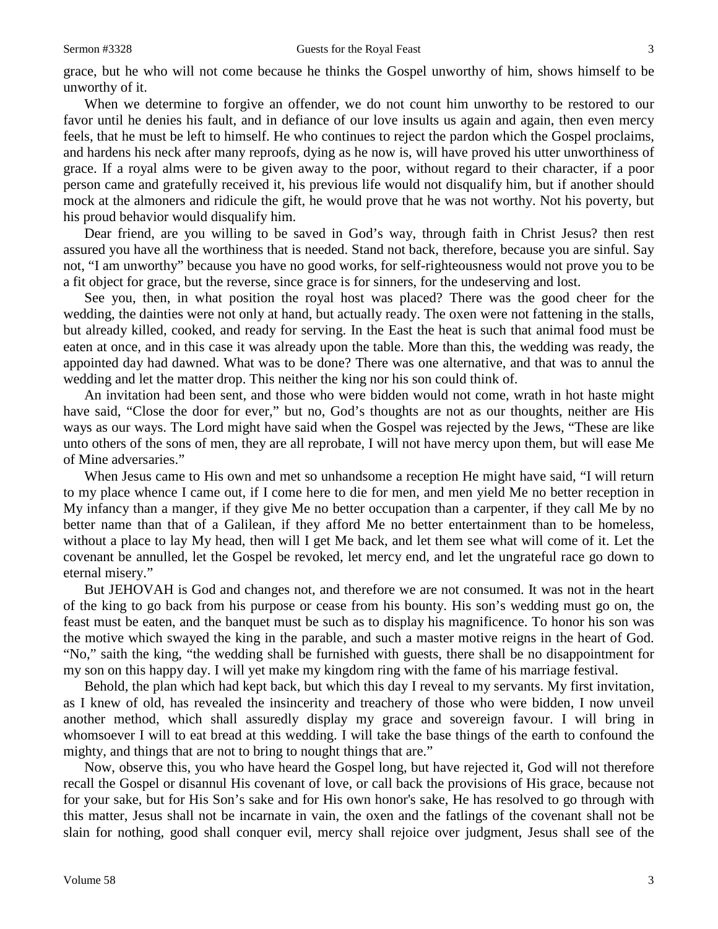grace, but he who will not come because he thinks the Gospel unworthy of him, shows himself to be unworthy of it.

When we determine to forgive an offender, we do not count him unworthy to be restored to our favor until he denies his fault, and in defiance of our love insults us again and again, then even mercy feels, that he must be left to himself. He who continues to reject the pardon which the Gospel proclaims, and hardens his neck after many reproofs, dying as he now is, will have proved his utter unworthiness of grace. If a royal alms were to be given away to the poor, without regard to their character, if a poor person came and gratefully received it, his previous life would not disqualify him, but if another should mock at the almoners and ridicule the gift, he would prove that he was not worthy. Not his poverty, but his proud behavior would disqualify him.

Dear friend, are you willing to be saved in God's way, through faith in Christ Jesus? then rest assured you have all the worthiness that is needed. Stand not back, therefore, because you are sinful. Say not, "I am unworthy" because you have no good works, for self-righteousness would not prove you to be a fit object for grace, but the reverse, since grace is for sinners, for the undeserving and lost.

See you, then, in what position the royal host was placed? There was the good cheer for the wedding, the dainties were not only at hand, but actually ready. The oxen were not fattening in the stalls, but already killed, cooked, and ready for serving. In the East the heat is such that animal food must be eaten at once, and in this case it was already upon the table. More than this, the wedding was ready, the appointed day had dawned. What was to be done? There was one alternative, and that was to annul the wedding and let the matter drop. This neither the king nor his son could think of.

An invitation had been sent, and those who were bidden would not come, wrath in hot haste might have said, "Close the door for ever," but no, God's thoughts are not as our thoughts, neither are His ways as our ways. The Lord might have said when the Gospel was rejected by the Jews, "These are like unto others of the sons of men, they are all reprobate, I will not have mercy upon them, but will ease Me of Mine adversaries."

When Jesus came to His own and met so unhandsome a reception He might have said, "I will return to my place whence I came out, if I come here to die for men, and men yield Me no better reception in My infancy than a manger, if they give Me no better occupation than a carpenter, if they call Me by no better name than that of a Galilean, if they afford Me no better entertainment than to be homeless, without a place to lay My head, then will I get Me back, and let them see what will come of it. Let the covenant be annulled, let the Gospel be revoked, let mercy end, and let the ungrateful race go down to eternal misery."

But JEHOVAH is God and changes not, and therefore we are not consumed. It was not in the heart of the king to go back from his purpose or cease from his bounty. His son's wedding must go on, the feast must be eaten, and the banquet must be such as to display his magnificence. To honor his son was the motive which swayed the king in the parable, and such a master motive reigns in the heart of God. "No," saith the king, "the wedding shall be furnished with guests, there shall be no disappointment for my son on this happy day. I will yet make my kingdom ring with the fame of his marriage festival.

Behold, the plan which had kept back, but which this day I reveal to my servants. My first invitation, as I knew of old, has revealed the insincerity and treachery of those who were bidden, I now unveil another method, which shall assuredly display my grace and sovereign favour. I will bring in whomsoever I will to eat bread at this wedding. I will take the base things of the earth to confound the mighty, and things that are not to bring to nought things that are."

Now, observe this, you who have heard the Gospel long, but have rejected it, God will not therefore recall the Gospel or disannul His covenant of love, or call back the provisions of His grace, because not for your sake, but for His Son's sake and for His own honor's sake, He has resolved to go through with this matter, Jesus shall not be incarnate in vain, the oxen and the fatlings of the covenant shall not be slain for nothing, good shall conquer evil, mercy shall rejoice over judgment, Jesus shall see of the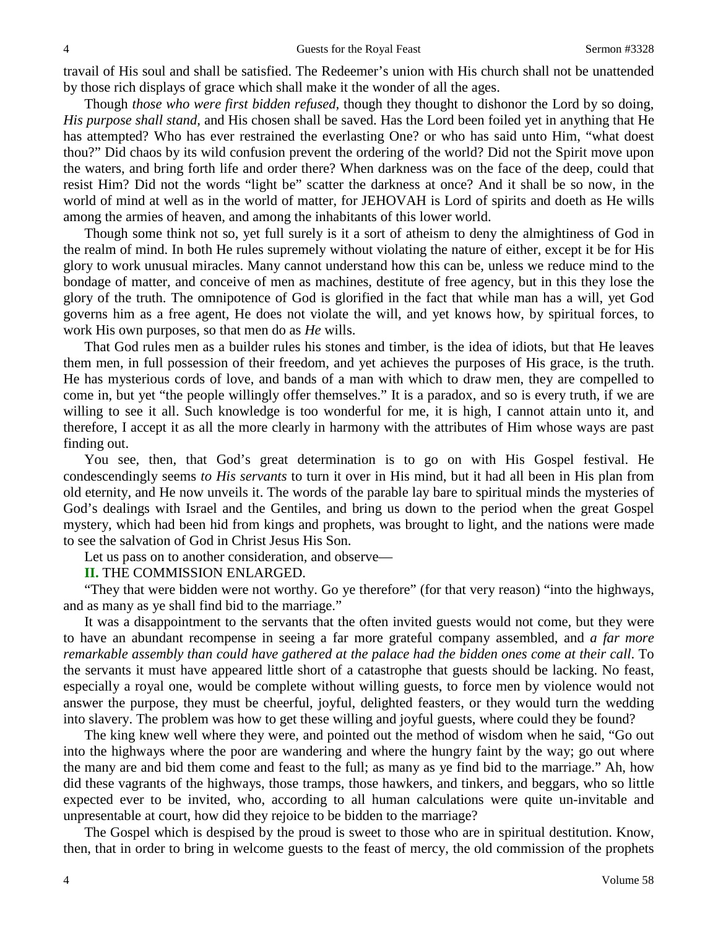travail of His soul and shall be satisfied. The Redeemer's union with His church shall not be unattended by those rich displays of grace which shall make it the wonder of all the ages.

Though *those who were first bidden refused,* though they thought to dishonor the Lord by so doing, *His purpose shall stand,* and His chosen shall be saved. Has the Lord been foiled yet in anything that He has attempted? Who has ever restrained the everlasting One? or who has said unto Him, "what doest thou?" Did chaos by its wild confusion prevent the ordering of the world? Did not the Spirit move upon the waters, and bring forth life and order there? When darkness was on the face of the deep, could that resist Him? Did not the words "light be" scatter the darkness at once? And it shall be so now, in the world of mind at well as in the world of matter, for JEHOVAH is Lord of spirits and doeth as He wills among the armies of heaven, and among the inhabitants of this lower world.

Though some think not so, yet full surely is it a sort of atheism to deny the almightiness of God in the realm of mind. In both He rules supremely without violating the nature of either, except it be for His glory to work unusual miracles. Many cannot understand how this can be, unless we reduce mind to the bondage of matter, and conceive of men as machines, destitute of free agency, but in this they lose the glory of the truth. The omnipotence of God is glorified in the fact that while man has a will, yet God governs him as a free agent, He does not violate the will, and yet knows how, by spiritual forces, to work His own purposes, so that men do as *He* wills.

That God rules men as a builder rules his stones and timber, is the idea of idiots, but that He leaves them men, in full possession of their freedom, and yet achieves the purposes of His grace, is the truth. He has mysterious cords of love, and bands of a man with which to draw men, they are compelled to come in, but yet "the people willingly offer themselves." It is a paradox, and so is every truth, if we are willing to see it all. Such knowledge is too wonderful for me, it is high, I cannot attain unto it, and therefore, I accept it as all the more clearly in harmony with the attributes of Him whose ways are past finding out.

You see, then, that God's great determination is to go on with His Gospel festival. He condescendingly seems *to His servants* to turn it over in His mind, but it had all been in His plan from old eternity, and He now unveils it. The words of the parable lay bare to spiritual minds the mysteries of God's dealings with Israel and the Gentiles, and bring us down to the period when the great Gospel mystery, which had been hid from kings and prophets, was brought to light, and the nations were made to see the salvation of God in Christ Jesus His Son.

Let us pass on to another consideration, and observe—

#### **II.** THE COMMISSION ENLARGED.

"They that were bidden were not worthy. Go ye therefore" (for that very reason) "into the highways, and as many as ye shall find bid to the marriage."

It was a disappointment to the servants that the often invited guests would not come, but they were to have an abundant recompense in seeing a far more grateful company assembled, and *a far more remarkable assembly than could have gathered at the palace had the bidden ones come at their call*. To the servants it must have appeared little short of a catastrophe that guests should be lacking. No feast, especially a royal one, would be complete without willing guests, to force men by violence would not answer the purpose, they must be cheerful, joyful, delighted feasters, or they would turn the wedding into slavery. The problem was how to get these willing and joyful guests, where could they be found?

The king knew well where they were, and pointed out the method of wisdom when he said, "Go out into the highways where the poor are wandering and where the hungry faint by the way; go out where the many are and bid them come and feast to the full; as many as ye find bid to the marriage." Ah, how did these vagrants of the highways, those tramps, those hawkers, and tinkers, and beggars, who so little expected ever to be invited, who, according to all human calculations were quite un-invitable and unpresentable at court, how did they rejoice to be bidden to the marriage?

The Gospel which is despised by the proud is sweet to those who are in spiritual destitution. Know, then, that in order to bring in welcome guests to the feast of mercy, the old commission of the prophets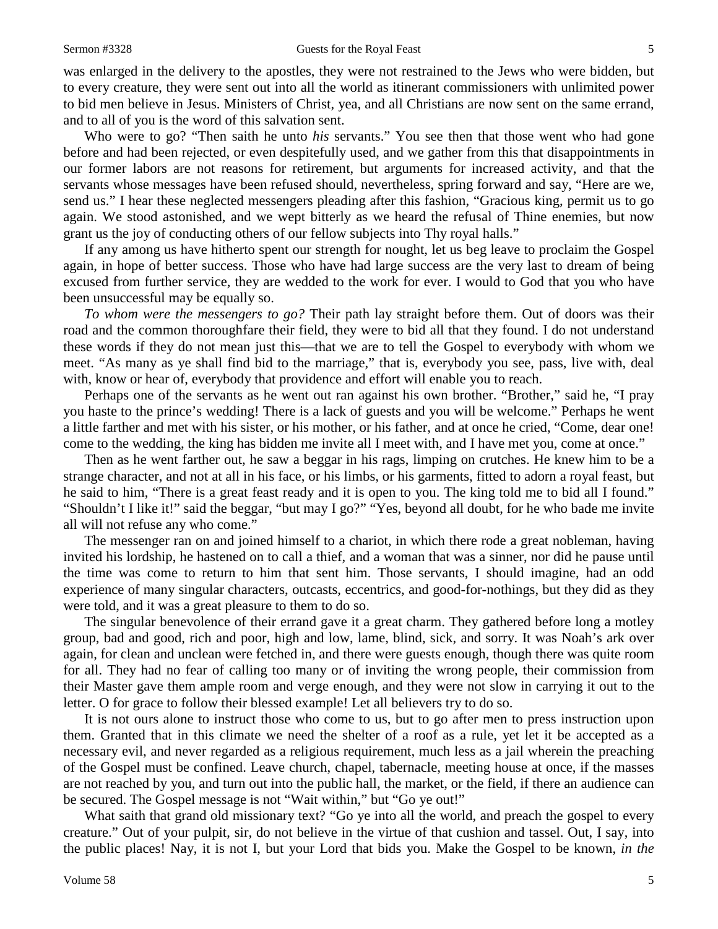was enlarged in the delivery to the apostles, they were not restrained to the Jews who were bidden, but to every creature, they were sent out into all the world as itinerant commissioners with unlimited power to bid men believe in Jesus. Ministers of Christ, yea, and all Christians are now sent on the same errand, and to all of you is the word of this salvation sent.

Who were to go? "Then saith he unto *his* servants." You see then that those went who had gone before and had been rejected, or even despitefully used, and we gather from this that disappointments in our former labors are not reasons for retirement, but arguments for increased activity, and that the servants whose messages have been refused should, nevertheless, spring forward and say, "Here are we, send us." I hear these neglected messengers pleading after this fashion, "Gracious king, permit us to go again. We stood astonished, and we wept bitterly as we heard the refusal of Thine enemies, but now grant us the joy of conducting others of our fellow subjects into Thy royal halls."

If any among us have hitherto spent our strength for nought, let us beg leave to proclaim the Gospel again, in hope of better success. Those who have had large success are the very last to dream of being excused from further service, they are wedded to the work for ever. I would to God that you who have been unsuccessful may be equally so.

*To whom were the messengers to go?* Their path lay straight before them. Out of doors was their road and the common thoroughfare their field, they were to bid all that they found. I do not understand these words if they do not mean just this—that we are to tell the Gospel to everybody with whom we meet. "As many as ye shall find bid to the marriage," that is, everybody you see, pass, live with, deal with, know or hear of, everybody that providence and effort will enable you to reach.

Perhaps one of the servants as he went out ran against his own brother. "Brother," said he, "I pray you haste to the prince's wedding! There is a lack of guests and you will be welcome." Perhaps he went a little farther and met with his sister, or his mother, or his father, and at once he cried, "Come, dear one! come to the wedding, the king has bidden me invite all I meet with, and I have met you, come at once."

Then as he went farther out, he saw a beggar in his rags, limping on crutches. He knew him to be a strange character, and not at all in his face, or his limbs, or his garments, fitted to adorn a royal feast, but he said to him, "There is a great feast ready and it is open to you. The king told me to bid all I found." "Shouldn't I like it!" said the beggar, "but may I go?" "Yes, beyond all doubt, for he who bade me invite all will not refuse any who come."

The messenger ran on and joined himself to a chariot, in which there rode a great nobleman, having invited his lordship, he hastened on to call a thief, and a woman that was a sinner, nor did he pause until the time was come to return to him that sent him. Those servants, I should imagine, had an odd experience of many singular characters, outcasts, eccentrics, and good-for-nothings, but they did as they were told, and it was a great pleasure to them to do so.

The singular benevolence of their errand gave it a great charm. They gathered before long a motley group, bad and good, rich and poor, high and low, lame, blind, sick, and sorry. It was Noah's ark over again, for clean and unclean were fetched in, and there were guests enough, though there was quite room for all. They had no fear of calling too many or of inviting the wrong people, their commission from their Master gave them ample room and verge enough, and they were not slow in carrying it out to the letter. O for grace to follow their blessed example! Let all believers try to do so.

It is not ours alone to instruct those who come to us, but to go after men to press instruction upon them. Granted that in this climate we need the shelter of a roof as a rule, yet let it be accepted as a necessary evil, and never regarded as a religious requirement, much less as a jail wherein the preaching of the Gospel must be confined. Leave church, chapel, tabernacle, meeting house at once, if the masses are not reached by you, and turn out into the public hall, the market, or the field, if there an audience can be secured. The Gospel message is not "Wait within," but "Go ye out!"

What saith that grand old missionary text? "Go ye into all the world, and preach the gospel to every creature." Out of your pulpit, sir, do not believe in the virtue of that cushion and tassel. Out, I say, into the public places! Nay, it is not I, but your Lord that bids you. Make the Gospel to be known, *in the*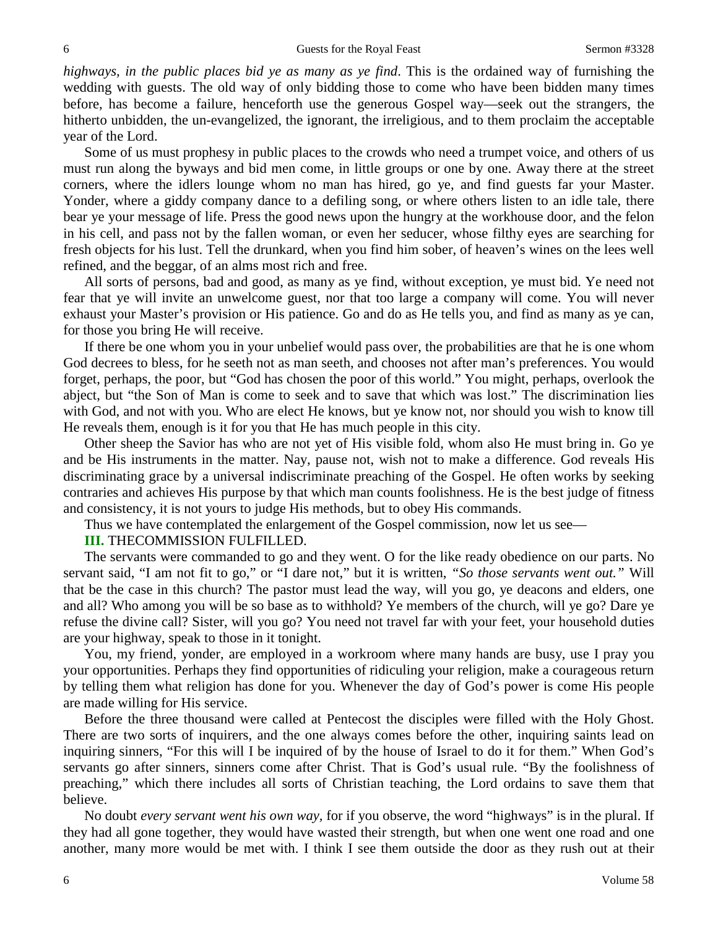*highways, in the public places bid ye as many as ye find*. This is the ordained way of furnishing the wedding with guests. The old way of only bidding those to come who have been bidden many times before, has become a failure, henceforth use the generous Gospel way—seek out the strangers, the hitherto unbidden, the un-evangelized, the ignorant, the irreligious, and to them proclaim the acceptable year of the Lord.

Some of us must prophesy in public places to the crowds who need a trumpet voice, and others of us must run along the byways and bid men come, in little groups or one by one. Away there at the street corners, where the idlers lounge whom no man has hired, go ye, and find guests far your Master. Yonder, where a giddy company dance to a defiling song, or where others listen to an idle tale, there bear ye your message of life. Press the good news upon the hungry at the workhouse door, and the felon in his cell, and pass not by the fallen woman, or even her seducer, whose filthy eyes are searching for fresh objects for his lust. Tell the drunkard, when you find him sober, of heaven's wines on the lees well refined, and the beggar, of an alms most rich and free.

All sorts of persons, bad and good, as many as ye find, without exception, ye must bid. Ye need not fear that ye will invite an unwelcome guest, nor that too large a company will come. You will never exhaust your Master's provision or His patience. Go and do as He tells you, and find as many as ye can, for those you bring He will receive.

If there be one whom you in your unbelief would pass over, the probabilities are that he is one whom God decrees to bless, for he seeth not as man seeth, and chooses not after man's preferences. You would forget, perhaps, the poor, but "God has chosen the poor of this world." You might, perhaps, overlook the abject, but "the Son of Man is come to seek and to save that which was lost." The discrimination lies with God, and not with you. Who are elect He knows, but ye know not, nor should you wish to know till He reveals them, enough is it for you that He has much people in this city.

Other sheep the Savior has who are not yet of His visible fold, whom also He must bring in. Go ye and be His instruments in the matter. Nay, pause not, wish not to make a difference. God reveals His discriminating grace by a universal indiscriminate preaching of the Gospel. He often works by seeking contraries and achieves His purpose by that which man counts foolishness. He is the best judge of fitness and consistency, it is not yours to judge His methods, but to obey His commands.

Thus we have contemplated the enlargement of the Gospel commission, now let us see—

## **III.** THECOMMISSION FULFILLED.

The servants were commanded to go and they went. O for the like ready obedience on our parts. No servant said, "I am not fit to go," or "I dare not," but it is written, *"So those servants went out."* Will that be the case in this church? The pastor must lead the way, will you go, ye deacons and elders, one and all? Who among you will be so base as to withhold? Ye members of the church, will ye go? Dare ye refuse the divine call? Sister, will you go? You need not travel far with your feet, your household duties are your highway, speak to those in it tonight.

You, my friend, yonder, are employed in a workroom where many hands are busy, use I pray you your opportunities. Perhaps they find opportunities of ridiculing your religion, make a courageous return by telling them what religion has done for you. Whenever the day of God's power is come His people are made willing for His service.

Before the three thousand were called at Pentecost the disciples were filled with the Holy Ghost. There are two sorts of inquirers, and the one always comes before the other, inquiring saints lead on inquiring sinners, "For this will I be inquired of by the house of Israel to do it for them." When God's servants go after sinners, sinners come after Christ. That is God's usual rule. "By the foolishness of preaching," which there includes all sorts of Christian teaching, the Lord ordains to save them that believe.

No doubt *every servant went his own way,* for if you observe, the word "highways" is in the plural. If they had all gone together, they would have wasted their strength, but when one went one road and one another, many more would be met with. I think I see them outside the door as they rush out at their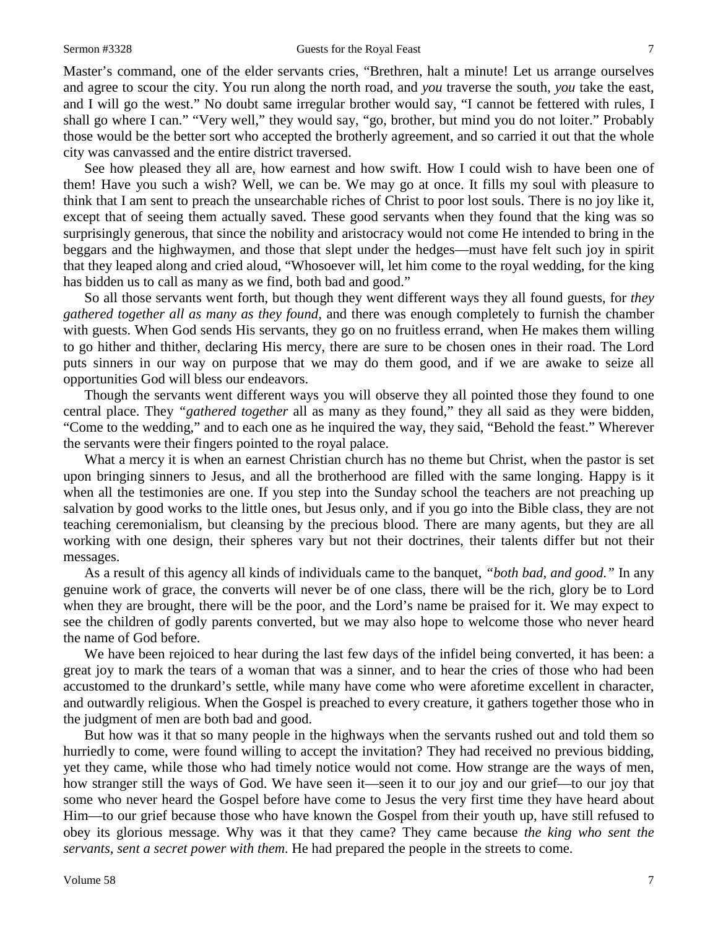Master's command, one of the elder servants cries, "Brethren, halt a minute! Let us arrange ourselves and agree to scour the city. You run along the north road, and *you* traverse the south, *you* take the east, and I will go the west." No doubt same irregular brother would say, "I cannot be fettered with rules, I shall go where I can." "Very well," they would say, "go, brother, but mind you do not loiter." Probably those would be the better sort who accepted the brotherly agreement, and so carried it out that the whole city was canvassed and the entire district traversed.

See how pleased they all are, how earnest and how swift. How I could wish to have been one of them! Have you such a wish? Well, we can be. We may go at once. It fills my soul with pleasure to think that I am sent to preach the unsearchable riches of Christ to poor lost souls. There is no joy like it, except that of seeing them actually saved. These good servants when they found that the king was so surprisingly generous, that since the nobility and aristocracy would not come He intended to bring in the beggars and the highwaymen, and those that slept under the hedges—must have felt such joy in spirit that they leaped along and cried aloud, "Whosoever will, let him come to the royal wedding, for the king has bidden us to call as many as we find, both bad and good."

So all those servants went forth, but though they went different ways they all found guests, for *they gathered together all as many as they found,* and there was enough completely to furnish the chamber with guests. When God sends His servants, they go on no fruitless errand, when He makes them willing to go hither and thither, declaring His mercy, there are sure to be chosen ones in their road. The Lord puts sinners in our way on purpose that we may do them good, and if we are awake to seize all opportunities God will bless our endeavors.

Though the servants went different ways you will observe they all pointed those they found to one central place. They *"gathered together* all as many as they found," they all said as they were bidden, "Come to the wedding," and to each one as he inquired the way, they said, "Behold the feast." Wherever the servants were their fingers pointed to the royal palace.

What a mercy it is when an earnest Christian church has no theme but Christ, when the pastor is set upon bringing sinners to Jesus, and all the brotherhood are filled with the same longing. Happy is it when all the testimonies are one. If you step into the Sunday school the teachers are not preaching up salvation by good works to the little ones, but Jesus only, and if you go into the Bible class, they are not teaching ceremonialism, but cleansing by the precious blood. There are many agents, but they are all working with one design, their spheres vary but not their doctrines, their talents differ but not their messages.

As a result of this agency all kinds of individuals came to the banquet, *"both bad, and good."* In any genuine work of grace, the converts will never be of one class, there will be the rich, glory be to Lord when they are brought, there will be the poor, and the Lord's name be praised for it. We may expect to see the children of godly parents converted, but we may also hope to welcome those who never heard the name of God before.

We have been rejoiced to hear during the last few days of the infidel being converted, it has been: a great joy to mark the tears of a woman that was a sinner, and to hear the cries of those who had been accustomed to the drunkard's settle, while many have come who were aforetime excellent in character, and outwardly religious. When the Gospel is preached to every creature, it gathers together those who in the judgment of men are both bad and good.

But how was it that so many people in the highways when the servants rushed out and told them so hurriedly to come, were found willing to accept the invitation? They had received no previous bidding, yet they came, while those who had timely notice would not come. How strange are the ways of men, how stranger still the ways of God. We have seen it—seen it to our joy and our grief—to our joy that some who never heard the Gospel before have come to Jesus the very first time they have heard about Him—to our grief because those who have known the Gospel from their youth up, have still refused to obey its glorious message. Why was it that they came? They came because *the king who sent the servants, sent a secret power with them*. He had prepared the people in the streets to come.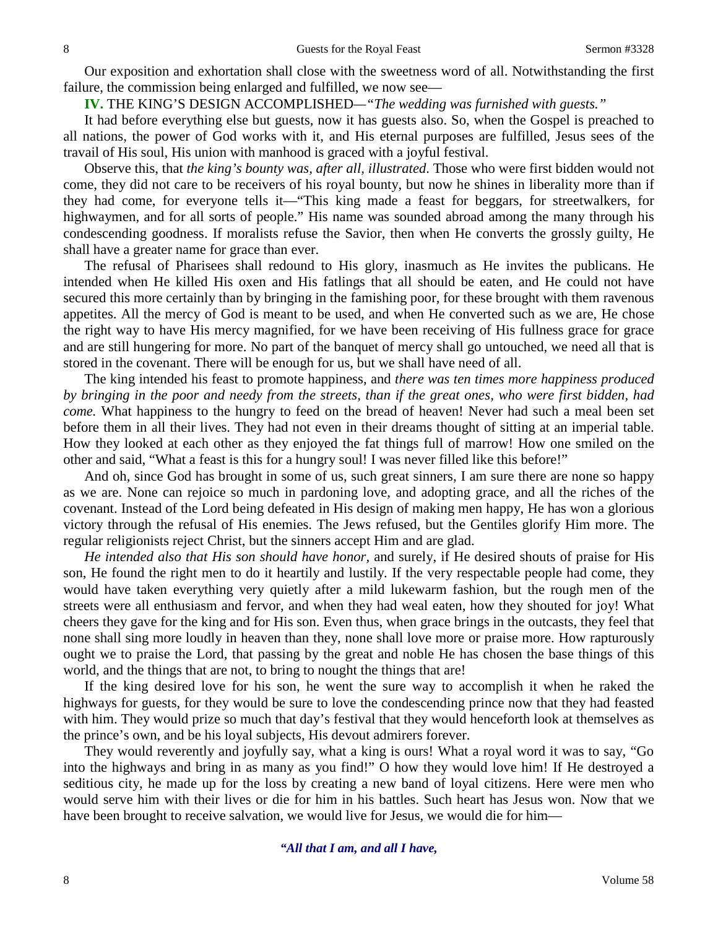Our exposition and exhortation shall close with the sweetness word of all. Notwithstanding the first failure, the commission being enlarged and fulfilled, we now see—

**IV.** THE KING'S DESIGN ACCOMPLISHED*—"The wedding was furnished with guests."*

It had before everything else but guests, now it has guests also. So, when the Gospel is preached to all nations, the power of God works with it, and His eternal purposes are fulfilled, Jesus sees of the travail of His soul, His union with manhood is graced with a joyful festival.

Observe this, that *the king's bounty was, after all, illustrated*. Those who were first bidden would not come, they did not care to be receivers of his royal bounty, but now he shines in liberality more than if they had come, for everyone tells it—"This king made a feast for beggars, for streetwalkers, for highwaymen, and for all sorts of people." His name was sounded abroad among the many through his condescending goodness. If moralists refuse the Savior, then when He converts the grossly guilty, He shall have a greater name for grace than ever.

The refusal of Pharisees shall redound to His glory, inasmuch as He invites the publicans. He intended when He killed His oxen and His fatlings that all should be eaten, and He could not have secured this more certainly than by bringing in the famishing poor, for these brought with them ravenous appetites. All the mercy of God is meant to be used, and when He converted such as we are, He chose the right way to have His mercy magnified, for we have been receiving of His fullness grace for grace and are still hungering for more. No part of the banquet of mercy shall go untouched, we need all that is stored in the covenant. There will be enough for us, but we shall have need of all.

The king intended his feast to promote happiness, and *there was ten times more happiness produced by bringing in the poor and needy from the streets, than if the great ones, who were first bidden, had come.* What happiness to the hungry to feed on the bread of heaven! Never had such a meal been set before them in all their lives. They had not even in their dreams thought of sitting at an imperial table. How they looked at each other as they enjoyed the fat things full of marrow! How one smiled on the other and said, "What a feast is this for a hungry soul! I was never filled like this before!"

And oh, since God has brought in some of us, such great sinners, I am sure there are none so happy as we are. None can rejoice so much in pardoning love, and adopting grace, and all the riches of the covenant. Instead of the Lord being defeated in His design of making men happy, He has won a glorious victory through the refusal of His enemies. The Jews refused, but the Gentiles glorify Him more. The regular religionists reject Christ, but the sinners accept Him and are glad.

*He intended also that His son should have honor,* and surely, if He desired shouts of praise for His son, He found the right men to do it heartily and lustily. If the very respectable people had come, they would have taken everything very quietly after a mild lukewarm fashion, but the rough men of the streets were all enthusiasm and fervor, and when they had weal eaten, how they shouted for joy! What cheers they gave for the king and for His son. Even thus, when grace brings in the outcasts, they feel that none shall sing more loudly in heaven than they, none shall love more or praise more. How rapturously ought we to praise the Lord, that passing by the great and noble He has chosen the base things of this world, and the things that are not, to bring to nought the things that are!

If the king desired love for his son, he went the sure way to accomplish it when he raked the highways for guests, for they would be sure to love the condescending prince now that they had feasted with him. They would prize so much that day's festival that they would henceforth look at themselves as the prince's own, and be his loyal subjects, His devout admirers forever.

They would reverently and joyfully say, what a king is ours! What a royal word it was to say, "Go into the highways and bring in as many as you find!" O how they would love him! If He destroyed a seditious city, he made up for the loss by creating a new band of loyal citizens. Here were men who would serve him with their lives or die for him in his battles. Such heart has Jesus won. Now that we have been brought to receive salvation, we would live for Jesus, we would die for him—

*"All that I am, and all I have,*